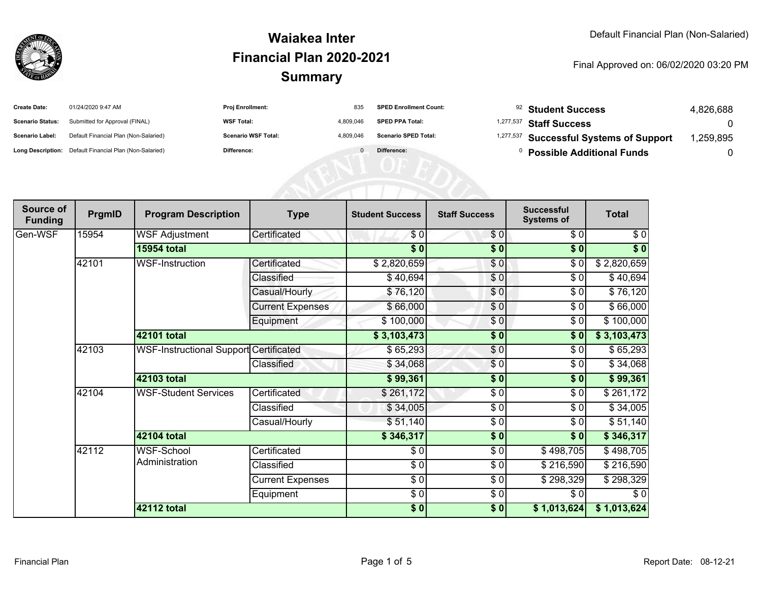

| <b>Create Date:</b>     | 01/24/2020 9:47 AM                                      | <b>Proj Enrollment:</b>    | 835       | <b>SPED Enrollment Count:</b> | <sup>92</sup> Student Success           | 4,826,688 |
|-------------------------|---------------------------------------------------------|----------------------------|-----------|-------------------------------|-----------------------------------------|-----------|
| <b>Scenario Status:</b> | Submitted for Approval (FINAL)                          | <b>WSF Total:</b>          | 4.809.046 | <b>SPED PPA Total:</b>        | <sup>1,277,537</sup> Staff Success      |           |
| <b>Scenario Label:</b>  | Default Financial Plan (Non-Salaried)                   | <b>Scenario WSF Total:</b> | 4.809.046 | <b>Scenario SPED Total:</b>   | 1,277,537 Successful Systems of Support | ,259,895  |
|                         | Long Description: Default Financial Plan (Non-Salaried) | Difference:                |           | Difference:                   | <b>Possible Additional Funds</b>        |           |

| Source of<br><b>Funding</b> | PrgmID                                              | <b>Program Description</b>             | <b>Type</b>             | <b>Student Success</b>   | <b>Staff Success</b> | <b>Successful</b><br><b>Systems of</b> | <b>Total</b> |
|-----------------------------|-----------------------------------------------------|----------------------------------------|-------------------------|--------------------------|----------------------|----------------------------------------|--------------|
| Gen-WSF                     | 15954                                               | <b>WSF Adjustment</b>                  | Certificated            | \$0                      | \$0                  | \$0                                    | \$0          |
|                             |                                                     | <b>15954 total</b>                     |                         | $\overline{\bullet}$     | $\frac{1}{2}$        | \$0                                    | \$0          |
|                             | 42101                                               | <b>WSF-Instruction</b>                 | Certificated            | \$2,820,659              | \$0                  | \$0                                    | \$2,820,659  |
|                             |                                                     |                                        | Classified              | \$40,694                 | \$0                  | \$0                                    | \$40,694     |
|                             |                                                     |                                        | Casual/Hourly           | \$76,120                 | \$0                  | \$0                                    | \$76,120     |
|                             |                                                     |                                        | <b>Current Expenses</b> | \$66,000                 | \$0                  | \$0                                    | \$66,000     |
|                             |                                                     |                                        | Equipment               | \$100,000                | \$0                  | \$0                                    | \$100,000    |
|                             |                                                     | 42101 total                            |                         | \$3,103,473              | $\frac{1}{2}$        | \$0                                    | \$3,103,473  |
|                             | 42103                                               | WSF-Instructional Support Certificated |                         | \$65,293                 | \$0                  | \$0                                    | \$65,293     |
|                             |                                                     |                                        | Classified              | \$34,068                 | \$0                  | \$0                                    | \$34,068     |
|                             |                                                     | 42103 total                            |                         | \$99,361                 | \$0                  | \$0                                    | \$99,361     |
|                             | 42104<br><b>WSF-Student Services</b><br>42104 total |                                        | Certificated            | \$261,172                | \$0                  | \$0                                    | \$261,172    |
|                             |                                                     |                                        | Classified              | \$34,005                 | \$0                  | \$0                                    | \$34,005     |
|                             |                                                     | Casual/Hourly                          | \$51,140                | \$0                      | \$0                  | \$51,140                               |              |
|                             |                                                     |                                        |                         | \$346,317                | $\frac{1}{2}$        | $\sqrt{6}$                             | \$346,317    |
|                             | 42112                                               | WSF-School<br>Administration           | Certificated            | \$0                      | $\frac{6}{6}$        | \$498,705                              | \$498,705    |
|                             |                                                     |                                        | Classified              | $\frac{1}{\epsilon}$     | \$0                  | \$216,590                              | \$216,590    |
|                             |                                                     |                                        | <b>Current Expenses</b> | $\overline{\frac{1}{2}}$ | $\frac{6}{6}$        | \$298,329                              | \$298,329    |
|                             |                                                     |                                        | Equipment               | \$0                      | \$0                  | \$0                                    | \$0          |
|                             |                                                     | 42112 total                            |                         | $\frac{6}{3}$            | \$0                  | \$1,013,624                            | \$1,013,624  |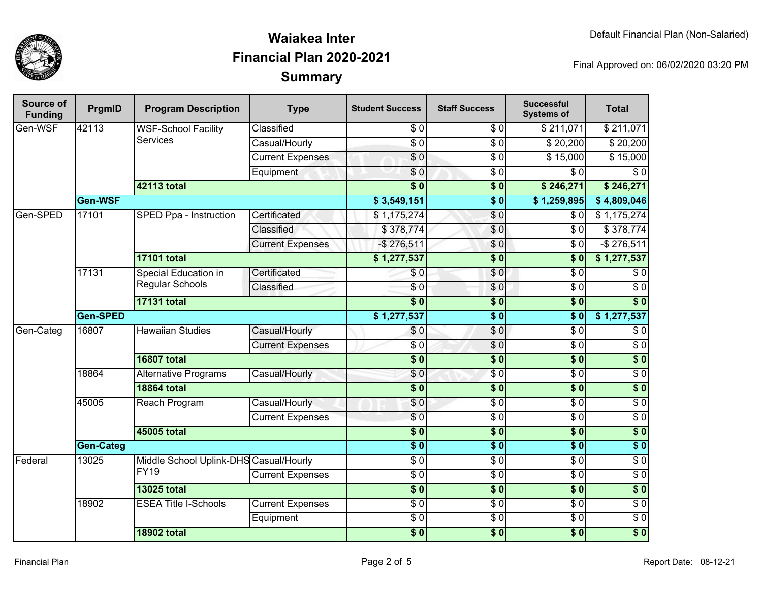

| Source of<br><b>Funding</b> | PrgmID                        | <b>Program Description</b>                            | <b>Type</b>             | <b>Student Success</b> | <b>Staff Success</b>        | <b>Successful</b><br><b>Systems of</b> | <b>Total</b>     |
|-----------------------------|-------------------------------|-------------------------------------------------------|-------------------------|------------------------|-----------------------------|----------------------------------------|------------------|
| Gen-WSF                     | 42113                         | <b>WSF-School Facility</b>                            | Classified              | $\overline{30}$        | $\overline{S}$ <sub>0</sub> | \$211,071                              | \$211,071        |
|                             |                               | <b>Services</b>                                       | Casual/Hourly           | $\overline{S}0$        | \$0                         | \$20,200                               | \$20,200         |
|                             |                               |                                                       | <b>Current Expenses</b> | $\sqrt{6}$             | \$ 0                        | \$15,000                               | \$15,000         |
|                             |                               |                                                       | Equipment               | \$0                    | $\sqrt{6}$                  | $\overline{\$0}$                       | $\overline{\$0}$ |
|                             |                               | <b>42113 total</b>                                    |                         | $\overline{\bullet}$ 0 | $\overline{\$0}$            | \$246,271                              | \$246,271        |
|                             | Gen-WSF                       |                                                       |                         | \$3,549,151            | $\overline{\$0}$            | \$1,259,895                            | \$4,809,046      |
| Gen-SPED                    | 17101                         | SPED Ppa - Instruction                                | Certificated            | \$1,175,274            | $\sqrt{0}$                  | \$0                                    | \$1,175,274      |
|                             |                               |                                                       | Classified              | \$378,774              | \$0                         | $\overline{\$0}$                       | \$378,774        |
|                             |                               |                                                       | <b>Current Expenses</b> | $-$ \$276,511          | \$0                         | $\overline{\$0}$                       | $-$ \$276,511    |
|                             |                               | <b>17101 total</b>                                    |                         | \$1,277,537            | $\overline{\$0}$            | $\overline{\$0}$                       | \$1,277,537      |
|                             | 17131                         | Special Education in<br><b>Regular Schools</b>        | Certificated            | \$0                    | $\overline{S}0$             | $\overline{S}0$                        | $\sqrt{6}$       |
|                             |                               |                                                       | Classified              | $\overline{\$0}$       | \$0                         | $\overline{\$0}$                       | $\sqrt{6}$       |
|                             |                               | <b>17131 total</b>                                    |                         | $\overline{\$0}$       | $\overline{\$0}$            | $\overline{\$0}$                       | $\overline{\$0}$ |
|                             | Gen-SPED                      |                                                       |                         | \$1,277,537            | $\overline{\$0}$            | $\overline{\$0}$                       | \$1,277,537      |
| Gen-Categ                   | 16807                         | <b>Hawaiian Studies</b>                               | Casual/Hourly           | \$0                    | \$0                         | $\overline{\$0}$                       | $\sqrt{6}$       |
|                             |                               |                                                       | <b>Current Expenses</b> | $\overline{30}$        | $\overline{60}$             | $\overline{\$0}$                       | $\overline{60}$  |
|                             |                               | <b>16807 total</b>                                    |                         | $\overline{\$0}$       | $\overline{\$0}$            | s <sub>0</sub>                         | $\overline{\$0}$ |
|                             | 18864                         | <b>Alternative Programs</b>                           | Casual/Hourly           | \$0                    | $\overline{S}0$             | $\overline{S}0$                        | $\overline{\$0}$ |
|                             |                               | <b>18864 total</b>                                    |                         | $\overline{\$0}$       | \$0                         | $\overline{\$0}$                       | $\overline{\$0}$ |
|                             | 45005<br><b>Reach Program</b> | Casual/Hourly                                         | $\sqrt{6}$              | $\sqrt{6}$             | $\overline{S}0$             | $\overline{60}$                        |                  |
|                             |                               |                                                       | <b>Current Expenses</b> | $\overline{\$0}$       | $\overline{50}$             | $\overline{\$0}$                       | $\overline{\$0}$ |
|                             |                               | 45005 total                                           |                         | $\overline{\$0}$       | $\overline{\$0}$            | $\overline{\$0}$                       | $\overline{\$0}$ |
|                             | <b>Gen-Categ</b>              |                                                       |                         | $\overline{\$0}$       | $\overline{\$0}$            | $\overline{\$0}$                       | $\overline{\$0}$ |
| Federal                     | 13025                         | Middle School Uplink-DHS Casual/Hourly<br><b>FY19</b> |                         | $\overline{\$0}$       | $\sqrt{50}$                 | $\overline{\$0}$                       | $\overline{\$0}$ |
|                             |                               |                                                       | <b>Current Expenses</b> | $\overline{S}0$        | $\overline{S}0$             | $\overline{S}0$                        | \$0              |
|                             |                               | <b>13025 total</b>                                    |                         | $\overline{\$0}$       | $\overline{\$0}$            | $\overline{\$0}$                       | $\overline{\$0}$ |
|                             | 18902                         | <b>ESEA Title I-Schools</b>                           | <b>Current Expenses</b> | $\overline{30}$        | \$0                         | $\overline{S}0$                        | \$0              |
|                             |                               |                                                       | Equipment               | $\overline{\$0}$       | $\frac{3}{6}$               | $\overline{\$0}$                       | $\overline{\$0}$ |
|                             |                               | <b>18902 total</b>                                    |                         | $\overline{\$0}$       | $\overline{\$0}$            | $\overline{\$0}$                       | $\overline{\$0}$ |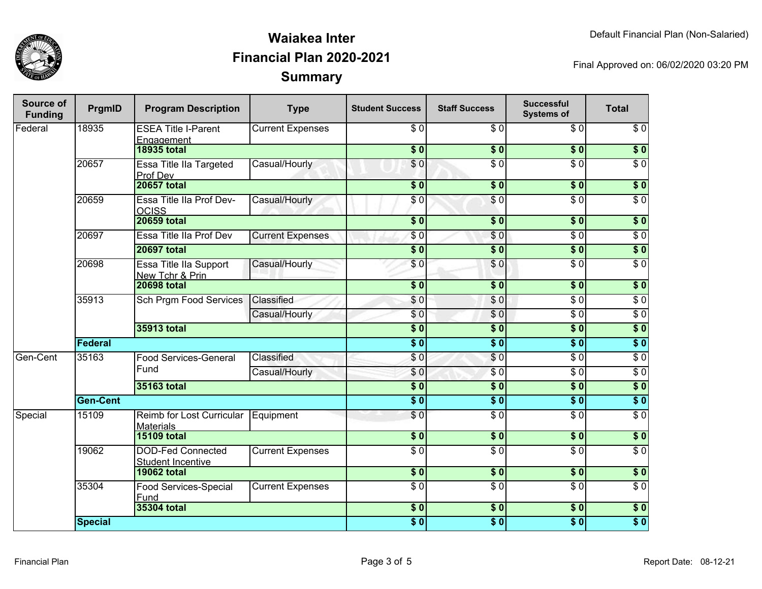

| Source of<br><b>Funding</b> | PrgmID          | <b>Program Description</b>                    | <b>Type</b>             | <b>Student Success</b>   | <b>Staff Success</b> | <b>Successful</b><br><b>Systems of</b> | <b>Total</b>     |
|-----------------------------|-----------------|-----------------------------------------------|-------------------------|--------------------------|----------------------|----------------------------------------|------------------|
| Federal                     | 18935           | <b>ESEA Title I-Parent</b><br>Engagement      | <b>Current Expenses</b> | \$0                      | \$0                  | \$0                                    | \$0              |
|                             |                 | <b>18935 total</b>                            |                         | $\overline{\textbf{50}}$ | s <sub>0</sub>       | $\overline{\$0}$                       | $\overline{\$0}$ |
|                             | 20657           | Essa Title IIa Targeted<br>Prof Dev           | Casual/Hourly           | \$0                      | $\overline{\$0}$     | $\overline{\$0}$                       | $\overline{\$0}$ |
|                             |                 | <b>20657 total</b>                            |                         | $\overline{\$0}$         | $\sqrt{6}$           | $\overline{\$0}$                       | \$0              |
|                             | 20659           | Essa Title IIa Prof Dev-<br><b>OCISS</b>      | Casual/Hourly           | \$0                      | \$0                  | $\overline{\$0}$                       | $\overline{\$0}$ |
|                             |                 | <b>20659 total</b>                            |                         | $\overline{\$0}$         | $\overline{\$0}$     | $\overline{\$0}$                       | $\overline{\$0}$ |
|                             | 20697           | Essa Title IIa Prof Dev                       | <b>Current Expenses</b> | \$0                      | \$0                  | $\overline{S}0$                        | $\overline{\$0}$ |
|                             |                 | <b>20697 total</b>                            |                         | $\overline{\$0}$         | $\overline{\$0}$     | $\overline{\$0}$                       | $\overline{\$0}$ |
|                             | 20698           | Essa Title IIa Support<br>New Tchr & Prin     | Casual/Hourly           | \$0                      | \$0                  | $\overline{30}$                        | $\overline{S}0$  |
|                             |                 | <b>20698 total</b>                            |                         | $\overline{\$0}$         | $\overline{\$0}$     | $\overline{\$0}$                       | $\overline{\$0}$ |
|                             | 35913           | <b>Sch Prgm Food Services</b>                 | Classified              | \$0                      | \$0                  | $\overline{\$0}$                       | $\overline{\$0}$ |
|                             |                 |                                               | Casual/Hourly           | $\sqrt{6}$               | $\overline{\$0}$     | $\overline{\$0}$                       | $\overline{\$0}$ |
|                             |                 | 35913 total                                   |                         | $\overline{\textbf{50}}$ | \$0                  | $\overline{\textbf{50}}$               | \$0              |
|                             | Federal         |                                               |                         | $\overline{\$0}$         | $\overline{\$0}$     | $\overline{\$0}$                       | $\overline{\$0}$ |
| Gen-Cent                    | 35163           | <b>Food Services-General</b>                  | Classified              | \$0                      | $\overline{S}0$      | $\overline{\$0}$                       | $\overline{\$0}$ |
|                             |                 | Fund                                          | Casual/Hourly           | \$0                      | $\overline{\$0}$     | $\overline{\$0}$                       | $\overline{\$0}$ |
|                             |                 | 35163 total                                   |                         | $\overline{\$}0$         | $\overline{\$0}$     | $\overline{\textbf{50}}$               | $\overline{\$0}$ |
|                             | <b>Gen-Cent</b> |                                               |                         | $\overline{\$0}$         | $\overline{\$0}$     | $\overline{\$0}$                       | $\overline{\$0}$ |
| Special                     | 15109           | Reimb for Lost Curricular<br>Materials        | Equipment               | $\overline{\$0}$         | $\overline{\$0}$     | $\overline{\$0}$                       | $\overline{\$0}$ |
|                             |                 | <b>15109 total</b>                            |                         | $\overline{\$0}$         | $\overline{\$0}$     | $\overline{\$0}$                       | $\overline{\$0}$ |
|                             | 19062           | <b>DOD-Fed Connected</b><br>Student Incentive | <b>Current Expenses</b> | $\overline{S}0$          | $\overline{30}$      | $\overline{\$0}$                       | $\overline{S}0$  |
|                             |                 | <b>19062 total</b>                            |                         | $\overline{\$0}$         | $\overline{\$0}$     | $\overline{\$0}$                       | $\overline{\$0}$ |
|                             | 35304           | <b>Food Services-Special</b><br>Fund          | <b>Current Expenses</b> | $\overline{S}0$          | $\overline{S}0$      | $\overline{\$0}$                       | $\overline{\$0}$ |
|                             |                 | 35304 total                                   |                         | $\overline{\$0}$         | $\overline{\$0}$     | $\overline{\$0}$                       | $\overline{\$0}$ |
|                             | <b>Special</b>  |                                               |                         | $\overline{\$0}$         | $\overline{\$0}$     | $\overline{\$0}$                       | $\overline{\$0}$ |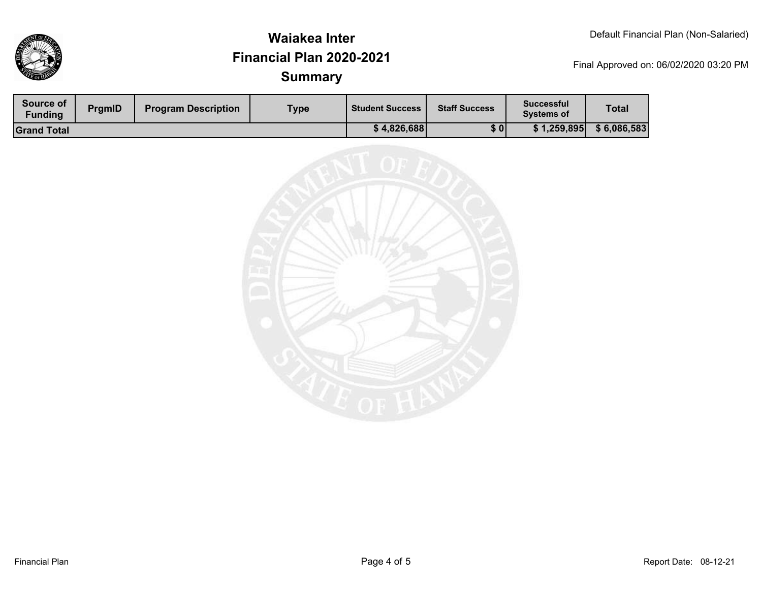

| <b>Source of</b><br><b>Funding</b> | <b>PramID</b> | <b>Program Description</b> | Type | <b>Student Success</b> | <b>Staff Success</b> | <b>Successful</b><br><b>Systems of</b> | <b>Total</b> |
|------------------------------------|---------------|----------------------------|------|------------------------|----------------------|----------------------------------------|--------------|
| <b>Grand Total</b>                 |               |                            |      | \$4,826,688            | \$0                  | \$1,259,895                            | \$6,086,583  |